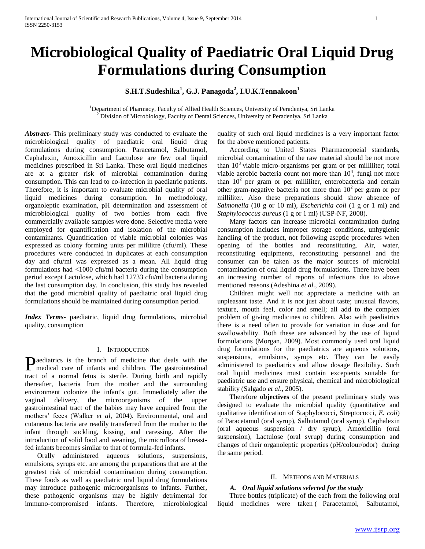# **Microbiological Quality of Paediatric Oral Liquid Drug Formulations during Consumption**

# **S.H.T.Sudeshika<sup>1</sup> , G.J. Panagoda<sup>2</sup> , I.U.K.Tennakoon<sup>1</sup>**

<sup>1</sup>Department of Pharmacy, Faculty of Allied Health Sciences, University of Peradeniya, Sri Lanka <sup>2</sup> Division of Microbiology, Faculty of Dental Sciences, University of Peradeniya, Sri Lanka

*Abstract***-** This preliminary study was conducted to evaluate the microbiological quality of paediatric oral liquid drug formulations during consumption. Paracetamol, Salbutamol, Cephalexin, Amoxicillin and Lactulose are few oral liquid medicines prescribed in Sri Lanka. These oral liquid medicines are at a greater risk of microbial contamination during consumption. This can lead to co-infection in paediatric patients. Therefore, it is important to evaluate microbial quality of oral liquid medicines during consumption. In methodology, organoleptic examination, pH determination and assessment of microbiological quality of two bottles from each five commercially available samples were done. Selective media were employed for quantification and isolation of the microbial contaminants. Quantification of viable microbial colonies was expressed as colony forming units per mililitre (cfu/ml). These procedures were conducted in duplicates at each consumption day and cfu/ml was expressed as a mean. All liquid drug formulations had <1000 cfu/ml bacteria during the consumption period except Lactulose, which had 12733 cfu/ml bacteria during the last consumption day. In conclusion, this study has revealed that the good microbial quality of paediatric oral liquid drug formulations should be maintained during consumption period.

*Index Terms*- paediatric, liquid drug formulations, microbial quality, consumption

#### I. INTRODUCTION

aediatrics is the branch of medicine that deals with the Paediatrics is the branch of medicine that deals with the medical care of infants and children. The gastrointestinal tract of a normal fetus is sterile. During birth and rapidly thereafter, bacteria from the mother and the surrounding environment colonize the infant's gut. Immediately after the vaginal delivery, the microorganisms of the upper gastrointestinal tract of the babies may have acquired from the mothers' feces (Walker *et al*, 2004). Environmental, oral and cutaneous bacteria are readily transferred from the mother to the infant through suckling, kissing, and caressing. After the introduction of solid food and weaning, the microflora of breastfed infants becomes similar to that of formula-fed infants.

 Orally administered aqueous solutions, suspensions, emulsions, syrups etc. are among the preparations that are at the greatest risk of microbial contamination during consumption. These foods as well as paediatric oral liquid drug formulations may introduce pathogenic microorganisms to infants. Further, these pathogenic organisms may be highly detrimental for immuno-compromised infants. Therefore, microbiological quality of such oral liquid medicines is a very important factor for the above mentioned patients.

 According to United States Pharmacopoeial standards, microbial contamination of the raw material should be not more than  $10<sup>3</sup>$  viable micro-organisms per gram or per milliliter; total viable aerobic bacteria count not more than  $10^4$ , fungi not more than  $10<sup>2</sup>$  per gram or per milliliter, enterobacteria and certain other gram-negative bacteria not more than  $10<sup>2</sup>$  per gram or per milliliter. Also these preparations should show absence of *Salmonella* (10 g or 10 ml), *Escherichia coli* (1 g or 1 ml) and *Staphylococcus aureus* (1 g or 1 ml) (USP-NF, 2008).

 Many factors can increase microbial contamination during consumption includes improper storage conditions, unhygienic handling of the product, not following aseptic procedures when opening of the bottles and reconstituting. Air, water, reconstituting equipments, reconstituting personnel and the consumer can be taken as the major sources of microbial contamination of oral liquid drug formulations. There have been an increasing number of reports of infections due to above mentioned reasons (Adeshina *et al*., 2009).

 Children might well not appreciate a medicine with an unpleasant taste. And it is not just about taste; unusual flavors, texture, mouth feel, color and smell; all add to the complex problem of giving medicines to children. Also with paediatrics there is a need often to provide for variation in dose and for swallowability. Both these are advanced by the use of liquid formulations (Morgan, 2009). Most commonly used oral liquid drug formulations for the paediatrics are aqueous solutions, suspensions, emulsions, syrups etc. They can be easily administered to paediatrics and allow dosage flexibility. Such oral liquid medicines must contain excepients suitable for paediatric use and ensure physical, chemical and microbiological stability (Salgado *et al*., 2005).

 Therefore **objectives** of the present preliminary study was designed to evaluate the microbial quality (quantitative and qualitative identification of Staphylococci, Streptococci, *E. coli*) of Paracetamol (oral syrup), Salbutamol (oral syrup), Cephalexin (oral aqueous suspension / dry syrup), Amoxicillin (oral suspension), Lactulose (oral syrup) during consumption and changes of their organoleptic properties (pH/colour/odor) during the same period.

#### II. METHODS AND MATERIALS

## *A. Oral liquid solutions selected for the study*

 Three bottles (triplicate) of the each from the following oral liquid medicines were taken ( Paracetamol, Salbutamol,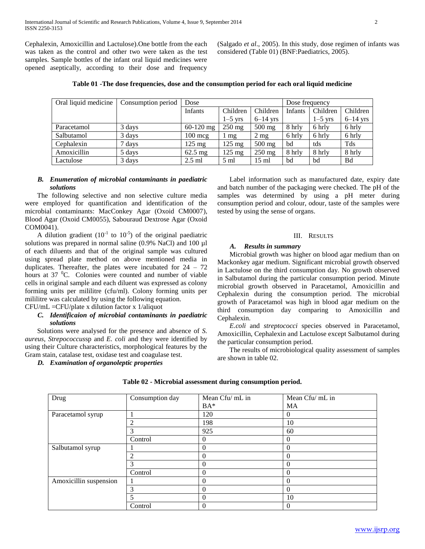Cephalexin, Amoxicillin and Lactulose).One bottle from the each was taken as the control and other two were taken as the test samples. Sample bottles of the infant oral liquid medicines were opened aseptically, according to their dose and frequency

(Salgado *et al*., 2005). In this study, dose regimen of infants was considered (Table 01) (BNF:Paediatrics, 2005).

| Oral liquid medicine | Consumption period | Dose              |                  |                 | Dose frequency |           |            |
|----------------------|--------------------|-------------------|------------------|-----------------|----------------|-----------|------------|
|                      |                    |                   |                  |                 |                |           |            |
|                      |                    | Infants           | Children         | Children        | Infants        | Children  | Children   |
|                      |                    |                   | $1-5$ yrs        | $6-14$ yrs      |                | $1-5$ yrs | $6-14$ yrs |
| Paracetamol          | 3 days             | $60-120$ mg       | $250$ mg         | $500$ mg        | 8 hrly         | 6 hrly    | 6 hrly     |
| Salbutamol           | 3 days             | $100 \text{ mg}$  | mg               | $2 \text{ mg}$  | 6 hrly         | 6 hrly    | 6 hrly     |
| Cephalexin           | 7 days             | $125 \text{ mg}$  | $125 \text{ mg}$ | $500$ mg        | bd             | tds       | Tds        |
| Amoxicillin          | 5 days             | $62.5 \text{ mg}$ | $125 \text{ mg}$ | $250$ mg        | 8 hrly         | 8 hrly    | 8 hrly     |
| Lactulose            | 3 days             | $2.5$ ml          | $5 \text{ ml}$   | $15 \text{ ml}$ | bd             | bd        | Bd         |

**Table 01 -The dose frequencies, dose and the consumption period for each oral liquid medicine**

#### *B. Enumeration of microbial contaminants in paediatric solutions*

 The following selective and non selective culture media were employed for quantification and identification of the microbial contaminants: MacConkey Agar (Oxoid CM0007), Blood Agar (Oxoid CM0055), Sabouraud Dextrose Agar (Oxoid COM0041).

A dilution gradient  $(10^{-1}$  to  $10^{-5})$  of the original paediatric solutions was prepared in normal saline (0.9% NaCl) and 100 µl of each diluents and that of the original sample was cultured using spread plate method on above mentioned media in duplicates. Thereafter, the plates were incubated for  $24 - 72$ hours at  $37 \text{ °C}$ . Colonies were counted and number of viable cells in original sample and each diluent was expressed as colony forming units per mililitre (cfu/ml). Colony forming units per mililitre was calculated by using the following equation.

# CFU/mL =CFU/plate x dilution factor x 1/aliquot

# *C. Identificaion of microbial contaminants in paediatric solutions*

 Solutions were analysed for the presence and absence of *S. aureus*, *Strepococcus*sp and *E. coli* and they were identified by using their Culture characteristics, morphological features by the Gram stain, catalase test, oxidase test and coagulase test.

*D. Examination of organoleptic properties*

 Label information such as manufactured date, expiry date and batch number of the packaging were checked. The pH of the samples was determined by using a pH meter during consumption period and colour, odour, taste of the samples were tested by using the sense of organs.

#### III. RESULTS

#### *A. Results in summary*

 Microbial growth was higher on blood agar medium than on Mackonkey agar medium. Significant microbial growth observed in Lactulose on the third consumption day. No growth observed in Salbutamol during the particular consumption period. Minute microbial growth observed in Paracetamol, Amoxicillin and Cephalexin during the consumption period. The microbial growth of Paracetamol was high in blood agar medium on the third consumption day comparing to Amoxicillin and Cephalexin.

 *E.coli* and *streptococci* species observed in Paracetamol, Amoxicillin, Cephalexin and Lactulose except Salbutamol during the particular consumption period.

 The results of microbiological quality assessment of samples are shown in table 02.

| Drug                   | Consumption day | Mean Cfu/ mL in | Mean Cfu/ mL in |
|------------------------|-----------------|-----------------|-----------------|
|                        |                 | $BA*$           | MA              |
| Paracetamol syrup      |                 | 120             | $\theta$        |
|                        | $\overline{c}$  | 198             | 10              |
|                        | 3               | 925             | 60              |
|                        | Control         | $\Omega$        | $\theta$        |
| Salbutamol syrup       |                 | $\Omega$        | $\theta$        |
|                        | $\mathfrak{D}$  | $\Omega$        | $\theta$        |
|                        | 3               | $\theta$        | $\theta$        |
|                        | Control         | $\theta$        | $\theta$        |
| Amoxicillin suspension |                 | $\overline{0}$  | $\overline{0}$  |
|                        | 3               | $\Omega$        | $\theta$        |
|                        | 5               | $\Omega$        | 10              |
|                        | Control         | $\Omega$        | $\theta$        |

**Table 02 - Microbial assessment during consumption period.**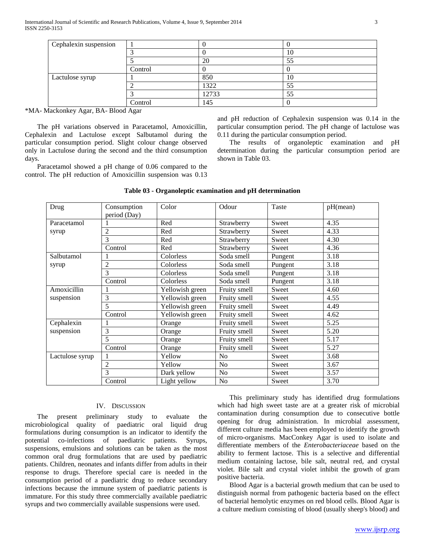| Cephalexin suspension |         |       |     |
|-----------------------|---------|-------|-----|
|                       |         |       | 10  |
|                       |         | 20    | ت ک |
|                       | Control |       |     |
| Lactulose syrup       |         | 850   | 10  |
|                       |         | 1322  | 55  |
|                       |         | 12733 | 55  |
|                       | Control | 145   |     |

\*MA- Mackonkey Agar, BA- Blood Agar

 The pH variations observed in Paracetamol, Amoxicillin, Cephalexin and Lactulose except Salbutamol during the particular consumption period. Slight colour change observed only in Lactulose during the second and the third consumption days.

 Paracetamol showed a pH change of 0.06 compared to the control. The pH reduction of Amoxicillin suspension was 0.13 and pH reduction of Cephalexin suspension was 0.14 in the particular consumption period. The pH change of lactulose was 0.11 during the particular consumption period.

 The results of organoleptic examination and pH determination during the particular consumption period are shown in Table 03.

| Drug            | Consumption<br>period (Day) | Color           | Odour          | Taste   | pH(mean) |
|-----------------|-----------------------------|-----------------|----------------|---------|----------|
| Paracetamol     |                             | Red             | Strawberry     | Sweet   | 4.35     |
| syrup           | 2                           | Red             | Strawberry     | Sweet   | 4.33     |
|                 | 3                           | Red             | Strawberry     | Sweet   | 4.30     |
|                 | Control                     | Red             | Strawberry     | Sweet   | 4.36     |
| Salbutamol      |                             | Colorless       | Soda smell     | Pungent | 3.18     |
| syrup           | 2                           | Colorless       | Soda smell     | Pungent | 3.18     |
|                 | 3                           | Colorless       | Soda smell     | Pungent | 3.18     |
|                 | Control                     | Colorless       | Soda smell     | Pungent | 3.18     |
| Amoxicillin     |                             | Yellowish green | Fruity smell   | Sweet   | 4.60     |
| suspension      | 3                           | Yellowish green | Fruity smell   | Sweet   | 4.55     |
|                 | 5                           | Yellowish green | Fruity smell   | Sweet   | 4.49     |
|                 | Control                     | Yellowish green | Fruity smell   | Sweet   | 4.62     |
| Cephalexin      |                             | Orange          | Fruity smell   | Sweet   | 5.25     |
| suspension      | 3                           | Orange          | Fruity smell   | Sweet   | 5.20     |
|                 | 5                           | Orange          | Fruity smell   | Sweet   | 5.17     |
|                 | Control                     | Orange          | Fruity smell   | Sweet   | 5.27     |
| Lactulose syrup |                             | Yellow          | N <sub>o</sub> | Sweet   | 3.68     |
|                 | 2                           | Yellow          | N <sub>o</sub> | Sweet   | 3.67     |
|                 | 3                           | Dark yellow     | N <sub>o</sub> | Sweet   | 3.57     |
|                 | Control                     | Light yellow    | No             | Sweet   | 3.70     |

#### **Table 03 - Organoleptic examination and pH determination**

# IV. DISCUSSION

 The present preliminary study to evaluate the microbiological quality of paediatric oral liquid drug formulations during consumption is an indicator to identify the potential co-infections of paediatric patients. Syrups, suspensions, emulsions and solutions can be taken as the most common oral drug formulations that are used by paediatric patients. Children, neonates and infants differ from adults in their response to drugs. Therefore special care is needed in the consumption period of a paediatric drug to reduce secondary infections because the immune system of paediatric patients is immature. For this study three commercially available paediatric syrups and two commercially available suspensions were used.

 This preliminary study has identified drug formulations which had high sweet taste are at a greater risk of microbial contamination during consumption due to consecutive bottle opening for drug administration. In microbial assessment, different culture media has been employed to identify the growth of micro-organisms. MacConkey Agar is used to isolate and differentiate members of the *Enterobacteriaceae* based on the ability to ferment lactose. This is a selective and differential medium containing lactose, bile salt, neutral red, and crystal violet. Bile salt and crystal violet inhibit the growth of gram positive bacteria.

 Blood Agar is a bacterial growth medium that can be used to distinguish normal from pathogenic bacteria based on the effect of bacterial hemolytic enzymes on red blood cells. Blood Agar is a culture medium consisting of blood (usually sheep's blood) and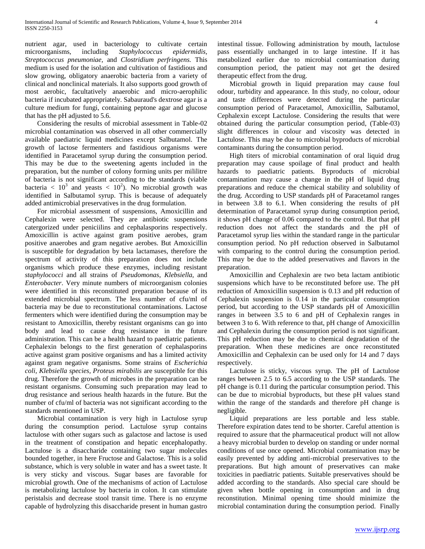nutrient agar, used in bacteriology to cultivate certain microorganisms, including *Staphylococcus epidermidis, Streptococcus pneumoniae,* and *Clostridium perfringens.* This medium is used for the isolation and cultivation of fastidious and slow growing, obligatory anaerobic bacteria from a variety of clinical and nonclinical materials. It also supports good growth of most aerobic, facultatively anaerobic and micro-aerophilic bacteria if incubated appropriately. Sabauraud's dextrose agar is a culture medium for fungi, containing peptone agar and glucose that has the pH adjusted to 5.6.

 Considering the results of microbial assessment in Table-02 microbial contamination was observed in all other commercially available paediatric liquid medicines except Salbutamol. The growth of lactose fermenters and fastidious organisms were identified in Paracetamol syrup during the consumption period. This may be due to the sweetening agents included in the preparation, but the number of colony forming units per mililitre of bacteria is not significant according to the standards (viable bacteria  $\langle 10^3 \text{ and } \text{years} \rangle \langle 10^2 \rangle$ . No microbial growth was identified in Salbutamol syrup. This is because of adequately added antimicrobial preservatives in the drug formulation.

 For microbial assessment of suspensions, Amoxicillin and Cephalexin were selected. They are antibiotic suspensions catergorized under peniciilins and cephalasporins respectively. Amoxicillin is active against gram positive aerobes, gram positive anaerobes and gram negative aerobes. But Amoxicillin is susceptible for degradation by beta lactamases, therefore the spectrum of activity of this preparation does not include organisms which produce these enzymes, including resistant *staphylococci* and all strains of *Pseudomonas*, *Klebsiella*, and *Enterobacter*. Very minute numbers of microorganism colonies were identified in this reconstituted preparation because of its extended microbial spectrum. The less number of cfu/ml of bacteria may be due to reconstitutional contaminations. Lactose fermenters which were identified during the consumption may be resistant to Amoxicillin, thereby resistant organisms can go into body and lead to cause drug resistance in the future administration. This can be a health hazard to paediatric patients. Cephalexin belongs to the first generation of cephalasporins active against gram positive organisms and has a limited activity against gram negative organisms. Some strains of *Escherichia coli, Klebsiella species, Proteus mirabilis* are susceptible for this drug. Therefore the growth of microbes in the preparation can be resistant organisms. Consuming such preparation may lead to drug resistance and serious health hazards in the future. But the number of cfu/ml of bacteria was not significant according to the standards mentioned in USP.

 Microbial contamination is very high in Lactulose syrup during the consumption period. Lactulose syrup contains lactulose with other sugars such as galactose and lactose is used in the treatment of constipation and hepatic encephalopathy. Lactulose is a disaccharide containing two sugar molecules bounded together, in here Fructose and Galactose. This is a solid substance, which is very soluble in water and has a sweet taste. It is very sticky and viscous. Sugar bases are favorable for microbial growth. One of the mechanisms of action of Lactulose is metabolizing lactulose by bacteria in colon. It can stimulate peristalsis and decrease stool transit time. There is no enzyme capable of hydrolyzing this disaccharide present in human gastro intestinal tissue. Following administration by mouth, lactulose pass essentially unchanged in to large intestine. If it has metabolized earlier due to microbial contamination during consumption period, the patient may not get the desired therapeutic effect from the drug.

 Microbial growth in liquid preparation may cause foul odour, turbidity and appearance. In this study, no colour, odour and taste differences were detected during the particular consumption period of Paracetamol, Amoxicillin, Salbutamol, Cephalexin except Lactulose. Considering the results that were obtained during the particular consumption period, (Table-03) slight differences in colour and viscosity was detected in Lactulose. This may be due to microbial byproducts of microbial contaminants during the consumption period.

 High titers of microbial contamination of oral liquid drug preparation may cause spoilage of final product and health hazards to paediatric patients. Byproducts of microbial contamination may cause a change in the pH of liquid drug preparations and reduce the chemical stability and solubility of the drug. According to USP standards pH of Paracetamol ranges in between 3.8 to 6.1. When considering the results of pH determination of Paracetamol syrup during consumption period, it shows pH change of 0.06 compared to the control. But that pH reduction does not affect the standards and the pH of Paracetamol syrup lies within the standard range in the particular consumption period. No pH reduction observed in Salbutamol with comparing to the control during the consumption period. This may be due to the added preservatives and flavors in the preparation.

 Amoxicillin and Cephalexin are two beta lactam antibiotic suspensions which have to be reconstituted before use. The pH reduction of Amoxicillin suspension is 0.13 and pH reduction of Cephalexin suspension is 0.14 in the particular consumption period, but according to the USP standards pH of Amoxicillin ranges in between 3.5 to 6 and pH of Cephalexin ranges in between 3 to 6. With reference to that, pH change of Amoxicillin and Cephalexin during the consumption period is not significant. This pH reduction may be due to chemical degradation of the preparation. When these medicines are once reconstituted Amoxicillin and Cephalexin can be used only for 14 and 7 days respectively.

 Lactulose is sticky, viscous syrup. The pH of Lactulose ranges between 2.5 to 6.5 according to the USP standards. The pH change is 0.11 during the particular consumption period. This can be due to microbial byproducts, but these pH values stand within the range of the standards and therefore pH change is negligible.

 Liquid preparations are less portable and less stable. Therefore expiration dates tend to be shorter. Careful attention is required to assure that the pharmaceutical product will not allow a heavy microbial burden to develop on standing or under normal conditions of use once opened. Microbial contamination may be easily prevented by adding anti-microbial preservatives to the preparations. But high amount of preservatives can make toxicities in paediatric patients. Suitable preservatives should be added according to the standards. Also special care should be given when bottle opening in consumption and in drug reconstitution. Minimal opening time should minimize the microbial contamination during the consumption period. Finally